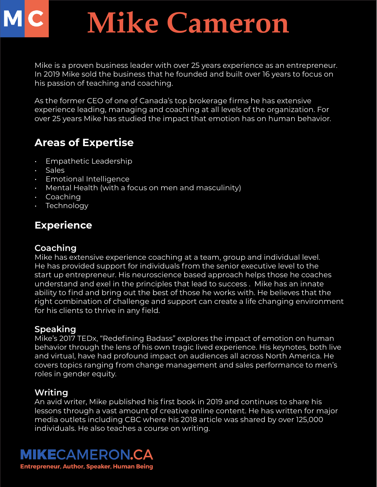# **Mike Cameron**

Mike is a proven business leader with over 25 years experience as an entrepreneur. In 2019 Mike sold the business that he founded and built over 16 years to focus on his passion of teaching and coaching.

As the former CEO of one of Canada's top brokerage firms he has extensive experience leading, managing and coaching at all levels of the organization. For over 25 years Mike has studied the impact that emotion has on human behavior.

## **Areas of Expertise**

- Empathetic Leadership
- Sales
- Emotional Intelligence
- Mental Health (with a focus on men and masculinity)
- Coaching
- Technology

## **Experience**

#### **Coaching**

Mike has extensive experience coaching at a team, group and individual level. He has provided support for individuals from the senior executive level to the start up entrepreneur. His neuroscience based approach helps those he coaches understand and exel in the principles that lead to success . Mike has an innate ability to find and bring out the best of those he works with. He believes that the right combination of challenge and support can create a life changing environment for his clients to thrive in any field.

### **Speaking**

Mike's 2017 TEDx, "Redefining Badass" explores the impact of emotion on human behavior through the lens of his own tragic lived experience. His keynotes, both live and virtual, have had profound impact on audiences all across North America. He covers topics ranging from change management and sales performance to men's roles in gender equity.

### **Writing**

An avid writer, Mike published his first book in 2019 and continues to share his lessons through a vast amount of creative online content. He has written for major media outlets including CBC where his 2018 article was shared by over 125,000 individuals. He also teaches a course on writing.